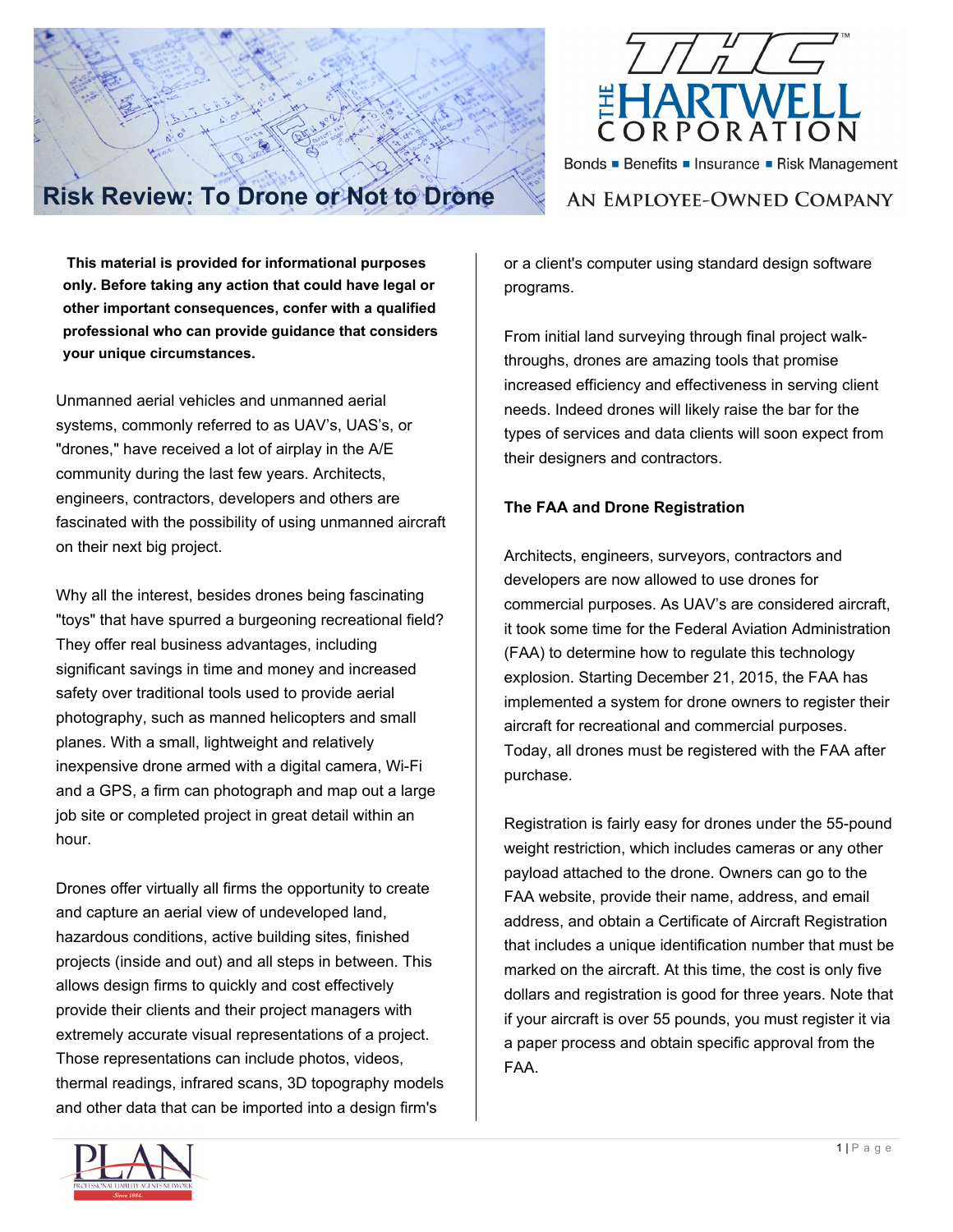

Bonds Benefits Insurance Risk Management

# **Risk Review: To Drone or Not to Drone**

AN EMPLOYEE-OWNED COMPANY

**This material is provided for informational purposes only. Before taking any action that could have legal or other important consequences, confer with a qualified professional who can provide guidance that considers your unique circumstances.**

Unmanned aerial vehicles and unmanned aerial systems, commonly referred to as UAV's, UAS's, or "drones," have received a lot of airplay in the A/E community during the last few years. Architects, engineers, contractors, developers and others are fascinated with the possibility of using unmanned aircraft on their next big project.

Why all the interest, besides drones being fascinating "toys" that have spurred a burgeoning recreational field? They offer real business advantages, including significant savings in time and money and increased safety over traditional tools used to provide aerial photography, such as manned helicopters and small planes. With a small, lightweight and relatively inexpensive drone armed with a digital camera, Wi-Fi and a GPS, a firm can photograph and map out a large job site or completed project in great detail within an hour.

Drones offer virtually all firms the opportunity to create and capture an aerial view of undeveloped land, hazardous conditions, active building sites, finished projects (inside and out) and all steps in between. This allows design firms to quickly and cost effectively provide their clients and their project managers with extremely accurate visual representations of a project. Those representations can include photos, videos, thermal readings, infrared scans, 3D topography models and other data that can be imported into a design firm's

or a client's computer using standard design software programs.

From initial land surveying through final project walkthroughs, drones are amazing tools that promise increased efficiency and effectiveness in serving client needs. Indeed drones will likely raise the bar for the types of services and data clients will soon expect from their designers and contractors.

## **The FAA and Drone Registration**

Architects, engineers, surveyors, contractors and developers are now allowed to use drones for commercial purposes. As UAV's are considered aircraft, it took some time for the Federal Aviation Administration (FAA) to determine how to regulate this technology explosion. Starting December 21, 2015, the FAA has implemented a system for drone owners to register their aircraft for recreational and commercial purposes. Today, all drones must be registered with the FAA after purchase.

Registration is fairly easy for drones under the 55-pound weight restriction, which includes cameras or any other payload attached to the drone. Owners can go to the FAA website, provide their name, address, and email address, and obtain a Certificate of Aircraft Registration that includes a unique identification number that must be marked on the aircraft. At this time, the cost is only five dollars and registration is good for three years. Note that if your aircraft is over 55 pounds, you must register it via a paper process and obtain specific approval from the FAA.